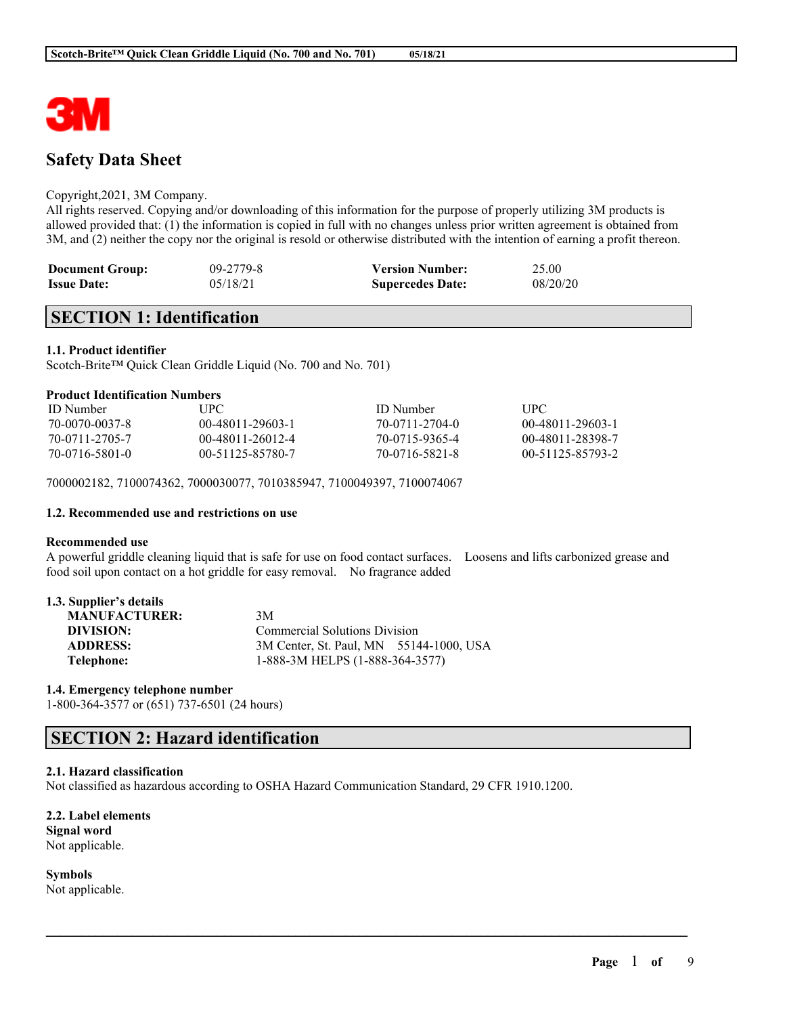

# **Safety Data Sheet**

#### Copyright,2021, 3M Company.

All rights reserved. Copying and/or downloading of this information for the purpose of properly utilizing 3M products is allowed provided that: (1) the information is copied in full with no changes unless prior written agreement is obtained from 3M, and (2) neither the copy nor the original is resold or otherwise distributed with the intention of earning a profit thereon.

| <b>Document Group:</b> | $09 - 2779 - 8$ | <b>Version Number:</b>  | 25.00    |
|------------------------|-----------------|-------------------------|----------|
| <b>Issue Date:</b>     | 05/18/21        | <b>Supercedes Date:</b> | 08/20/20 |

# **SECTION 1: Identification**

#### **1.1. Product identifier**

Scotch-Brite™ Quick Clean Griddle Liquid (No. 700 and No. 701)

#### **Product Identification Numbers**

| <b>ID</b> Number | UPC-             | ID Number      | UPC              |
|------------------|------------------|----------------|------------------|
| 70-0070-0037-8   | 00-48011-29603-1 | 70-0711-2704-0 | 00-48011-29603-1 |
| 70-0711-2705-7   | 00-48011-26012-4 | 70-0715-9365-4 | 00-48011-28398-7 |
| 70-0716-5801-0   | 00-51125-85780-7 | 70-0716-5821-8 | 00-51125-85793-2 |

7000002182, 7100074362, 7000030077, 7010385947, 7100049397, 7100074067

#### **1.2. Recommended use and restrictions on use**

### **Recommended use**

A powerful griddle cleaning liquid that is safe for use on food contact surfaces. Loosens and lifts carbonized grease and food soil upon contact on a hot griddle for easy removal. No fragrance added

 $\mathcal{L}_\mathcal{L} = \mathcal{L}_\mathcal{L} = \mathcal{L}_\mathcal{L} = \mathcal{L}_\mathcal{L} = \mathcal{L}_\mathcal{L} = \mathcal{L}_\mathcal{L} = \mathcal{L}_\mathcal{L} = \mathcal{L}_\mathcal{L} = \mathcal{L}_\mathcal{L} = \mathcal{L}_\mathcal{L} = \mathcal{L}_\mathcal{L} = \mathcal{L}_\mathcal{L} = \mathcal{L}_\mathcal{L} = \mathcal{L}_\mathcal{L} = \mathcal{L}_\mathcal{L} = \mathcal{L}_\mathcal{L} = \mathcal{L}_\mathcal{L}$ 

## **1.3. Supplier's details**

| <b>MANUFACTURER:</b> | 3M                                      |
|----------------------|-----------------------------------------|
| DIVISION:            | <b>Commercial Solutions Division</b>    |
| <b>ADDRESS:</b>      | 3M Center, St. Paul, MN 55144-1000, USA |
| Telephone:           | 1-888-3M HELPS (1-888-364-3577)         |

#### **1.4. Emergency telephone number**

1-800-364-3577 or (651) 737-6501 (24 hours)

# **SECTION 2: Hazard identification**

#### **2.1. Hazard classification**

Not classified as hazardous according to OSHA Hazard Communication Standard, 29 CFR 1910.1200.

### **2.2. Label elements**

**Signal word** Not applicable.

**Symbols** Not applicable.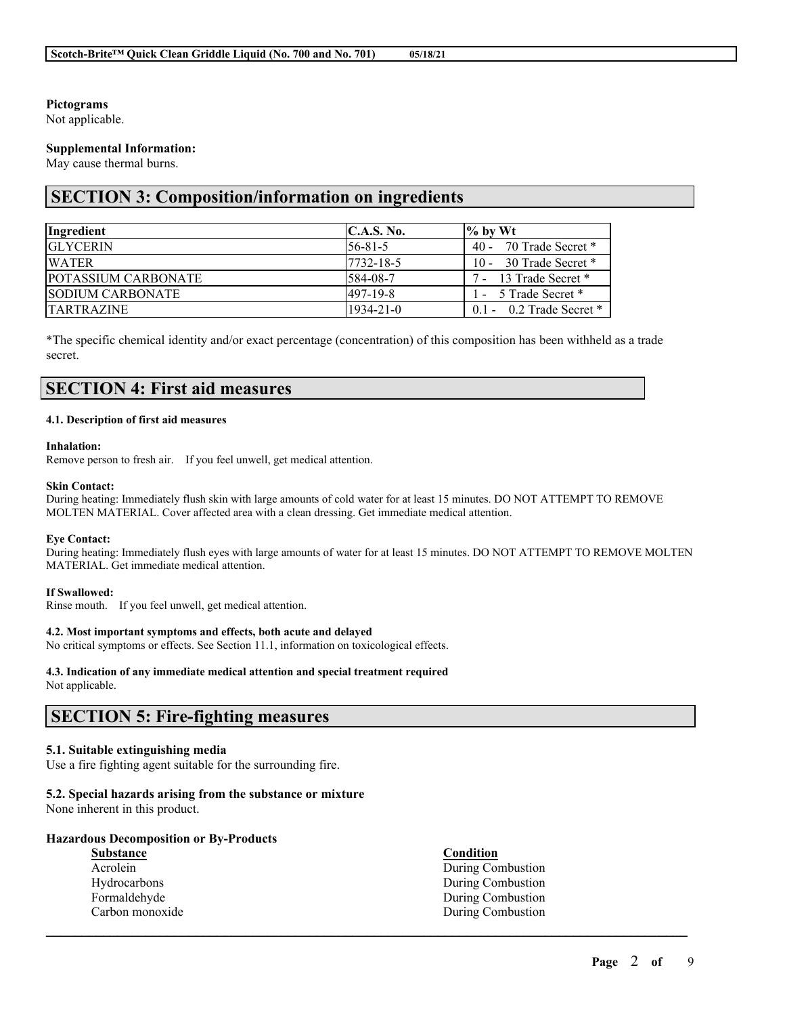### **Pictograms**

Not applicable.

### **Supplemental Information:**

May cause thermal burns.

# **SECTION 3: Composition/information on ingredients**

| Ingredient                 | C.A.S. No.      | $\frac{9}{6}$ by Wt        |
|----------------------------|-----------------|----------------------------|
| <b>IGLYCERIN</b>           | $156 - 81 - 5$  | 40 - 70 Trade Secret $*$   |
| <b>WATER</b>               | 17732-18-5      | 10 - 30 Trade Secret *     |
| <b>POTASSIUM CARBONATE</b> | 584-08-7        | 7 - 13 Trade Secret *      |
| <b>ISODIUM CARBONATE</b>   | $1497 - 19 - 8$ | 1 - 5 Trade Secret *       |
| <b>TARTRAZINE</b>          | 1934-21-0       | $0.1 - 0.2$ Trade Secret * |

\*The specific chemical identity and/or exact percentage (concentration) of this composition has been withheld as a trade secret.

# **SECTION 4: First aid measures**

#### **4.1. Description of first aid measures**

#### **Inhalation:**

Remove person to fresh air. If you feel unwell, get medical attention.

#### **Skin Contact:**

During heating: Immediately flush skin with large amounts of cold water for at least 15 minutes. DO NOT ATTEMPT TO REMOVE MOLTEN MATERIAL. Cover affected area with a clean dressing. Get immediate medical attention.

#### **Eye Contact:**

During heating: Immediately flush eyes with large amounts of water for at least 15 minutes. DO NOT ATTEMPT TO REMOVE MOLTEN MATERIAL. Get immediate medical attention.

#### **If Swallowed:**

Rinse mouth. If you feel unwell, get medical attention.

#### **4.2. Most important symptoms and effects, both acute and delayed**

No critical symptoms or effects. See Section 11.1, information on toxicological effects.

#### **4.3. Indication of any immediate medical attention and special treatment required**

Not applicable.

# **SECTION 5: Fire-fighting measures**

#### **5.1. Suitable extinguishing media**

Use a fire fighting agent suitable for the surrounding fire.

#### **5.2. Special hazards arising from the substance or mixture**

None inherent in this product.

#### **Hazardous Decomposition or By-Products**

| <b>Substance</b> | <b>Condition</b>  |
|------------------|-------------------|
| Acrolein         | During Combustion |
| Hydrocarbons     | During Combustion |
| Formaldehyde     | During Combustion |
| Carbon monoxide  | During Combustion |
|                  |                   |

 $\mathcal{L}_\mathcal{L} = \mathcal{L}_\mathcal{L} = \mathcal{L}_\mathcal{L} = \mathcal{L}_\mathcal{L} = \mathcal{L}_\mathcal{L} = \mathcal{L}_\mathcal{L} = \mathcal{L}_\mathcal{L} = \mathcal{L}_\mathcal{L} = \mathcal{L}_\mathcal{L} = \mathcal{L}_\mathcal{L} = \mathcal{L}_\mathcal{L} = \mathcal{L}_\mathcal{L} = \mathcal{L}_\mathcal{L} = \mathcal{L}_\mathcal{L} = \mathcal{L}_\mathcal{L} = \mathcal{L}_\mathcal{L} = \mathcal{L}_\mathcal{L}$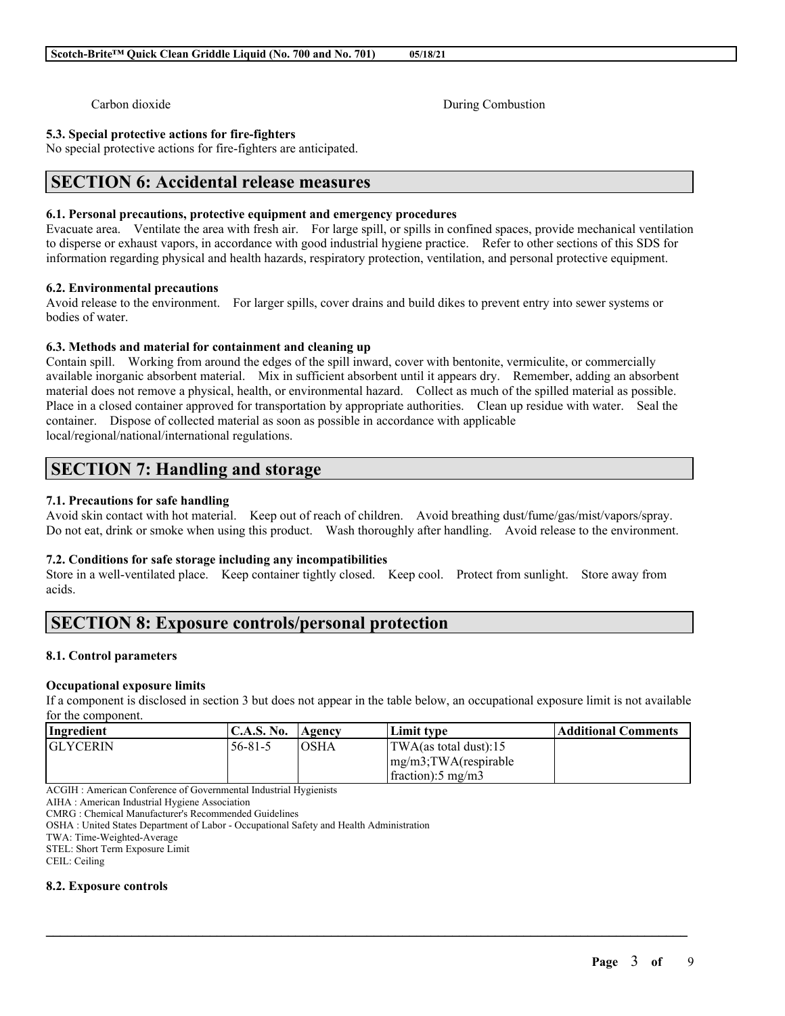Carbon dioxide During Combustion

### **5.3. Special protective actions for fire-fighters**

No special protective actions for fire-fighters are anticipated.

# **SECTION 6: Accidental release measures**

# **6.1. Personal precautions, protective equipment and emergency procedures**

Evacuate area. Ventilate the area with fresh air. For large spill, or spills in confined spaces, provide mechanical ventilation to disperse or exhaust vapors, in accordance with good industrial hygiene practice. Refer to other sections of this SDS for information regarding physical and health hazards, respiratory protection, ventilation, and personal protective equipment.

# **6.2. Environmental precautions**

Avoid release to the environment. For larger spills, cover drains and build dikes to prevent entry into sewer systems or bodies of water.

# **6.3. Methods and material for containment and cleaning up**

Contain spill. Working from around the edges of the spill inward, cover with bentonite, vermiculite, or commercially available inorganic absorbent material. Mix in sufficient absorbent until it appears dry. Remember, adding an absorbent material does not remove a physical, health, or environmental hazard. Collect as much of the spilled material as possible. Place in a closed container approved for transportation by appropriate authorities. Clean up residue with water. Seal the container. Dispose of collected material as soon as possible in accordance with applicable local/regional/national/international regulations.

# **SECTION 7: Handling and storage**

# **7.1. Precautions for safe handling**

Avoid skin contact with hot material. Keep out of reach of children. Avoid breathing dust/fume/gas/mist/vapors/spray. Do not eat, drink or smoke when using this product. Wash thoroughly after handling. Avoid release to the environment.

# **7.2. Conditions for safe storage including any incompatibilities**

Store in a well-ventilated place. Keep container tightly closed. Keep cool. Protect from sunlight. Store away from acids.

# **SECTION 8: Exposure controls/personal protection**

# **8.1. Control parameters**

# **Occupational exposure limits**

If a component is disclosed in section 3 but does not appear in the table below, an occupational exposure limit is not available for the component.

| <b>Ingredient</b> | <b>C.A.S. No.</b> | Agency      | Limit type                      | Additional Comments |
|-------------------|-------------------|-------------|---------------------------------|---------------------|
| <b>GLYCERIN</b>   | $56 - 81 - 5$     | <b>OSHA</b> | $\text{TWA}$ (as total dust):15 |                     |
|                   |                   |             | $\langle mg/m3;TWA$ (respirable |                     |
|                   |                   |             | $frac{1}{2}$ fraction: 5 mg/m3  |                     |

 $\mathcal{L}_\mathcal{L} = \mathcal{L}_\mathcal{L} = \mathcal{L}_\mathcal{L} = \mathcal{L}_\mathcal{L} = \mathcal{L}_\mathcal{L} = \mathcal{L}_\mathcal{L} = \mathcal{L}_\mathcal{L} = \mathcal{L}_\mathcal{L} = \mathcal{L}_\mathcal{L} = \mathcal{L}_\mathcal{L} = \mathcal{L}_\mathcal{L} = \mathcal{L}_\mathcal{L} = \mathcal{L}_\mathcal{L} = \mathcal{L}_\mathcal{L} = \mathcal{L}_\mathcal{L} = \mathcal{L}_\mathcal{L} = \mathcal{L}_\mathcal{L}$ 

ACGIH : American Conference of Governmental Industrial Hygienists

AIHA : American Industrial Hygiene Association

CMRG : Chemical Manufacturer's Recommended Guidelines

OSHA : United States Department of Labor - Occupational Safety and Health Administration

TWA: Time-Weighted-Average STEL: Short Term Exposure Limit

CEIL: Ceiling

# **8.2. Exposure controls**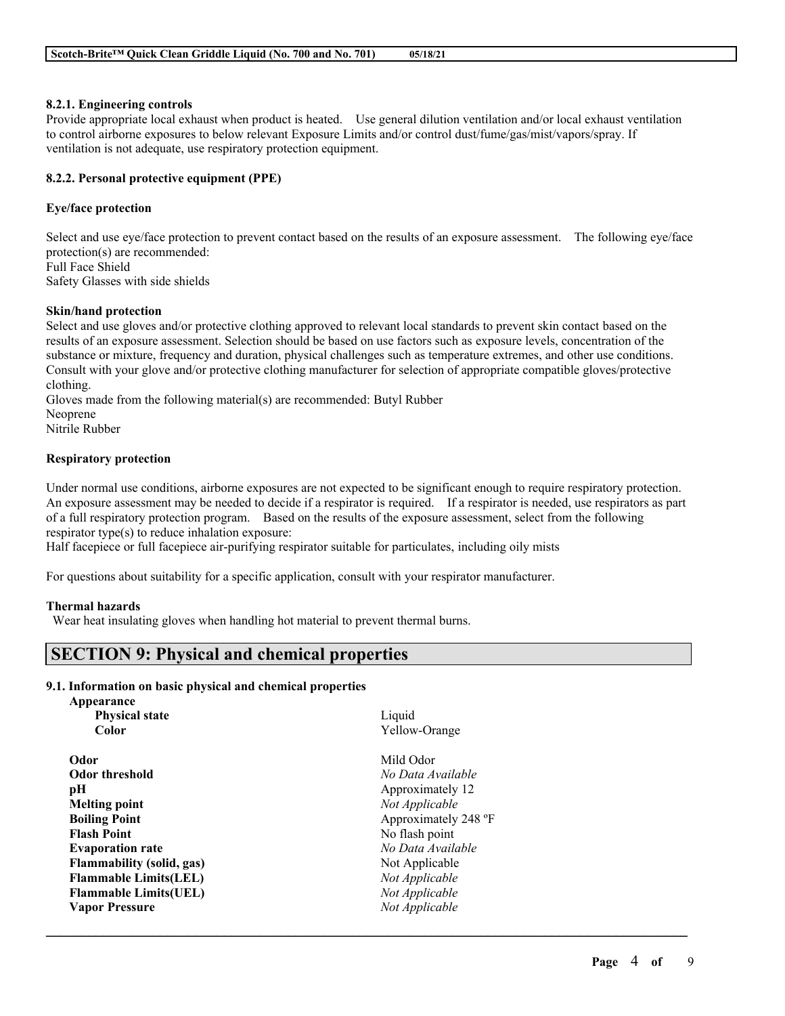#### **8.2.1. Engineering controls**

Provide appropriate local exhaust when product is heated. Use general dilution ventilation and/or local exhaust ventilation to control airborne exposures to below relevant Exposure Limits and/or control dust/fume/gas/mist/vapors/spray. If ventilation is not adequate, use respiratory protection equipment.

### **8.2.2. Personal protective equipment (PPE)**

#### **Eye/face protection**

Select and use eye/face protection to prevent contact based on the results of an exposure assessment. The following eye/face protection(s) are recommended: Full Face Shield

Safety Glasses with side shields

#### **Skin/hand protection**

Select and use gloves and/or protective clothing approved to relevant local standards to prevent skin contact based on the results of an exposure assessment. Selection should be based on use factors such as exposure levels, concentration of the substance or mixture, frequency and duration, physical challenges such as temperature extremes, and other use conditions. Consult with your glove and/or protective clothing manufacturer for selection of appropriate compatible gloves/protective clothing.

Gloves made from the following material(s) are recommended: Butyl Rubber Neoprene

Nitrile Rubber

### **Respiratory protection**

Under normal use conditions, airborne exposures are not expected to be significant enough to require respiratory protection. An exposure assessment may be needed to decide if a respirator is required. If a respirator is needed, use respirators as part of a full respiratory protection program. Based on the results of the exposure assessment, select from the following respirator type(s) to reduce inhalation exposure:

 $\mathcal{L}_\mathcal{L} = \mathcal{L}_\mathcal{L} = \mathcal{L}_\mathcal{L} = \mathcal{L}_\mathcal{L} = \mathcal{L}_\mathcal{L} = \mathcal{L}_\mathcal{L} = \mathcal{L}_\mathcal{L} = \mathcal{L}_\mathcal{L} = \mathcal{L}_\mathcal{L} = \mathcal{L}_\mathcal{L} = \mathcal{L}_\mathcal{L} = \mathcal{L}_\mathcal{L} = \mathcal{L}_\mathcal{L} = \mathcal{L}_\mathcal{L} = \mathcal{L}_\mathcal{L} = \mathcal{L}_\mathcal{L} = \mathcal{L}_\mathcal{L}$ 

Half facepiece or full facepiece air-purifying respirator suitable for particulates, including oily mists

For questions about suitability for a specific application, consult with your respirator manufacturer.

#### **Thermal hazards**

Wear heat insulating gloves when handling hot material to prevent thermal burns.

# **SECTION 9: Physical and chemical properties**

#### **9.1. Information on basic physical and chemical properties**

| Appearance                       |                      |
|----------------------------------|----------------------|
| <b>Physical state</b>            | Liquid               |
| Color                            | Yellow-Orange        |
| Odor                             | Mild Odor            |
| <b>Odor threshold</b>            | No Data Available    |
| рH                               | Approximately 12     |
| <b>Melting point</b>             | Not Applicable       |
| <b>Boiling Point</b>             | Approximately 248 °F |
| <b>Flash Point</b>               | No flash point       |
| <b>Evaporation rate</b>          | No Data Available    |
| <b>Flammability (solid, gas)</b> | Not Applicable       |
| <b>Flammable Limits(LEL)</b>     | Not Applicable       |
| <b>Flammable Limits(UEL)</b>     | Not Applicable       |
| <b>Vapor Pressure</b>            | Not Applicable       |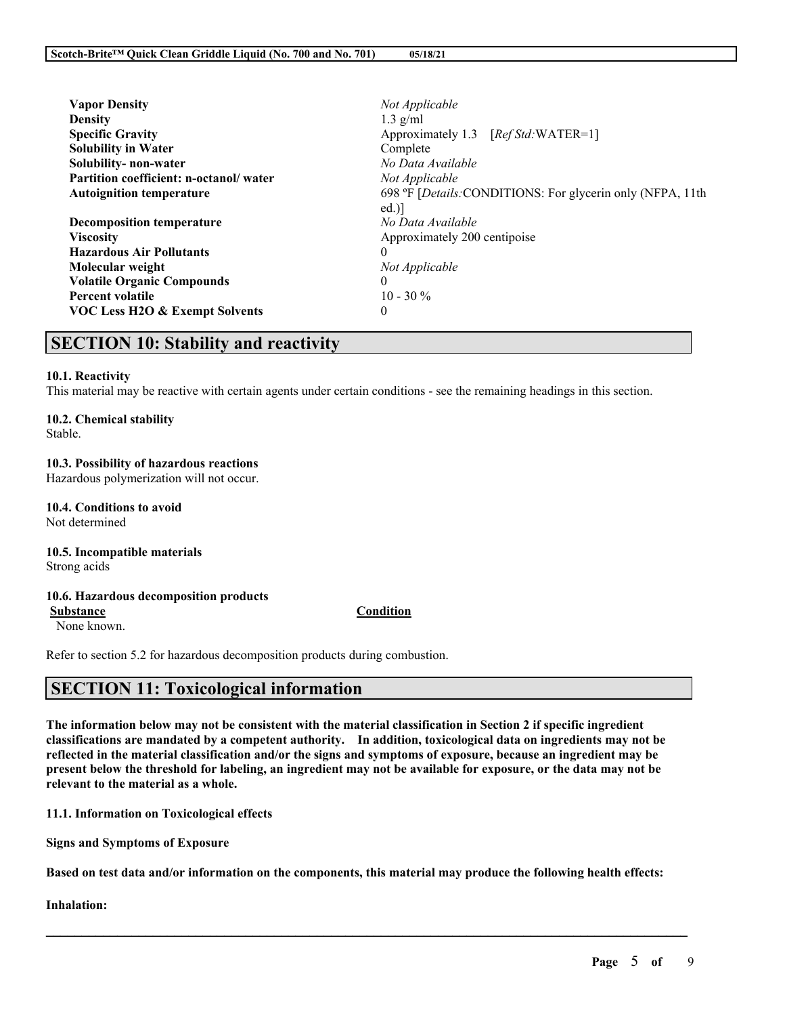| <b>Vapor Density</b>                   | Not Applicable                                             |  |
|----------------------------------------|------------------------------------------------------------|--|
| <b>Density</b>                         | $1.3$ g/ml                                                 |  |
| <b>Specific Gravity</b>                | Approximately 1.3 [Ref Std: WATER=1]                       |  |
| <b>Solubility in Water</b>             | Complete                                                   |  |
| Solubility-non-water                   | No Data Available                                          |  |
| Partition coefficient: n-octanol/water | Not Applicable                                             |  |
| <b>Autoignition temperature</b>        | 698 °F [Details: CONDITIONS: For glycerin only (NFPA, 11th |  |
|                                        | ed.                                                        |  |
| <b>Decomposition temperature</b>       | No Data Available                                          |  |
| <b>Viscosity</b>                       | Approximately 200 centipoise                               |  |
| <b>Hazardous Air Pollutants</b>        | $\theta$                                                   |  |
| Molecular weight                       | Not Applicable                                             |  |
| <b>Volatile Organic Compounds</b>      | $\theta$                                                   |  |
| <b>Percent volatile</b>                | $10 - 30\%$                                                |  |
| VOC Less H2O & Exempt Solvents         | 0                                                          |  |
|                                        |                                                            |  |

# **SECTION 10: Stability and reactivity**

#### **10.1. Reactivity**

This material may be reactive with certain agents under certain conditions - see the remaining headings in this section.

## **10.2. Chemical stability**

Stable.

#### **10.3. Possibility of hazardous reactions** Hazardous polymerization will not occur.

**10.4. Conditions to avoid** Not determined

#### **10.5. Incompatible materials** Strong acids

# **10.6. Hazardous decomposition products**

### **Substance Condition**

None known.

Refer to section 5.2 for hazardous decomposition products during combustion.

# **SECTION 11: Toxicological information**

The information below may not be consistent with the material classification in Section 2 if specific ingredient **classifications are mandated by a competent authority. In addition, toxicological data on ingredients may not be** reflected in the material classification and/or the signs and symptoms of exposure, because an ingredient may be present below the threshold for labeling, an ingredient may not be available for exposure, or the data may not be **relevant to the material as a whole.**

**11.1. Information on Toxicological effects**

**Signs and Symptoms of Exposure**

Based on test data and/or information on the components, this material may produce the following health effects:

 $\mathcal{L}_\mathcal{L} = \mathcal{L}_\mathcal{L} = \mathcal{L}_\mathcal{L} = \mathcal{L}_\mathcal{L} = \mathcal{L}_\mathcal{L} = \mathcal{L}_\mathcal{L} = \mathcal{L}_\mathcal{L} = \mathcal{L}_\mathcal{L} = \mathcal{L}_\mathcal{L} = \mathcal{L}_\mathcal{L} = \mathcal{L}_\mathcal{L} = \mathcal{L}_\mathcal{L} = \mathcal{L}_\mathcal{L} = \mathcal{L}_\mathcal{L} = \mathcal{L}_\mathcal{L} = \mathcal{L}_\mathcal{L} = \mathcal{L}_\mathcal{L}$ 

**Inhalation:**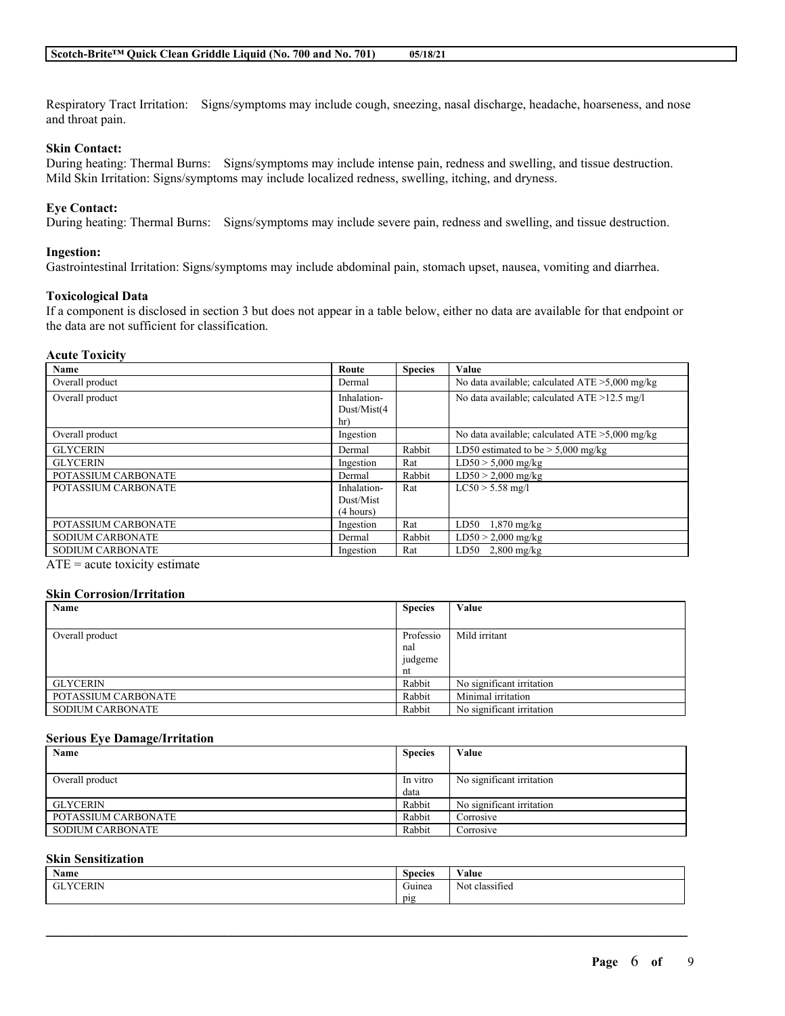Respiratory Tract Irritation: Signs/symptoms may include cough, sneezing, nasal discharge, headache, hoarseness, and nose and throat pain.

### **Skin Contact:**

During heating: Thermal Burns: Signs/symptoms may include intense pain, redness and swelling, and tissue destruction. Mild Skin Irritation: Signs/symptoms may include localized redness, swelling, itching, and dryness.

### **Eye Contact:**

During heating: Thermal Burns: Signs/symptoms may include severe pain, redness and swelling, and tissue destruction.

#### **Ingestion:**

Gastrointestinal Irritation: Signs/symptoms may include abdominal pain, stomach upset, nausea, vomiting and diarrhea.

#### **Toxicological Data**

If a component is disclosed in section 3 but does not appear in a table below, either no data are available for that endpoint or the data are not sufficient for classification.

#### **Acute Toxicity**

| Name                    | Route                             | <b>Species</b> | Value                                             |
|-------------------------|-----------------------------------|----------------|---------------------------------------------------|
| Overall product         | Dermal                            |                | No data available; calculated $ATE > 5,000$ mg/kg |
| Overall product         | Inhalation-<br>Dust/Mist(4<br>hr) |                | No data available; calculated ATE >12.5 mg/l      |
| Overall product         | Ingestion                         |                | No data available; calculated $ATE > 5,000$ mg/kg |
| <b>GLYCERIN</b>         | Dermal                            | Rabbit         | LD50 estimated to be $> 5,000$ mg/kg              |
| <b>GLYCERIN</b>         | Ingestion                         | Rat            | $LD50 > 5,000$ mg/kg                              |
| POTASSIUM CARBONATE     | Dermal                            | Rabbit         | $LD50 > 2,000$ mg/kg                              |
| POTASSIUM CARBONATE     | Inhalation-                       | Rat            | $LC50 > 5.58$ mg/l                                |
|                         | Dust/Mist                         |                |                                                   |
|                         | (4 hours)                         |                |                                                   |
| POTASSIUM CARBONATE     | Ingestion                         | Rat            | LD50<br>$1,870$ mg/kg                             |
| <b>SODIUM CARBONATE</b> | Dermal                            | Rabbit         | $LD50 > 2,000$ mg/kg                              |
| <b>SODIUM CARBONATE</b> | Ingestion                         | Rat            | LD50<br>$2,800$ mg/kg                             |

 $ATE = acute$  toxicity estimate

#### **Skin Corrosion/Irritation**

| Name                    | <b>Species</b> | Value                     |
|-------------------------|----------------|---------------------------|
|                         |                |                           |
| Overall product         | Professio      | Mild irritant             |
|                         | nal            |                           |
|                         | judgeme        |                           |
|                         | nt             |                           |
| <b>GLYCERIN</b>         | Rabbit         | No significant irritation |
| POTASSIUM CARBONATE     | Rabbit         | Minimal irritation        |
| <b>SODIUM CARBONATE</b> | Rabbit         | No significant irritation |

#### **Serious Eye Damage/Irritation**

| Name                | <b>Species</b> | Value                     |
|---------------------|----------------|---------------------------|
|                     |                |                           |
| Overall product     | In vitro       | No significant irritation |
|                     | data           |                           |
| GLYCERIN            | Rabbit         | No significant irritation |
| POTASSIUM CARBONATE | Rabbit         | Corrosive                 |
| SODIUM CARBONATE    | Rabbit         | Corrosive                 |

#### **Skin Sensitization**

| <b>Name</b>  | <b>Species</b> | $\mathbf{v}$ $\mathbf{v}$<br>⁄ alue |
|--------------|----------------|-------------------------------------|
| YCERIN<br>GL | ∼<br>Guinea    | $\sim$<br>classified<br>Not.        |
|              | pig            |                                     |

 $\mathcal{L}_\mathcal{L} = \mathcal{L}_\mathcal{L} = \mathcal{L}_\mathcal{L} = \mathcal{L}_\mathcal{L} = \mathcal{L}_\mathcal{L} = \mathcal{L}_\mathcal{L} = \mathcal{L}_\mathcal{L} = \mathcal{L}_\mathcal{L} = \mathcal{L}_\mathcal{L} = \mathcal{L}_\mathcal{L} = \mathcal{L}_\mathcal{L} = \mathcal{L}_\mathcal{L} = \mathcal{L}_\mathcal{L} = \mathcal{L}_\mathcal{L} = \mathcal{L}_\mathcal{L} = \mathcal{L}_\mathcal{L} = \mathcal{L}_\mathcal{L}$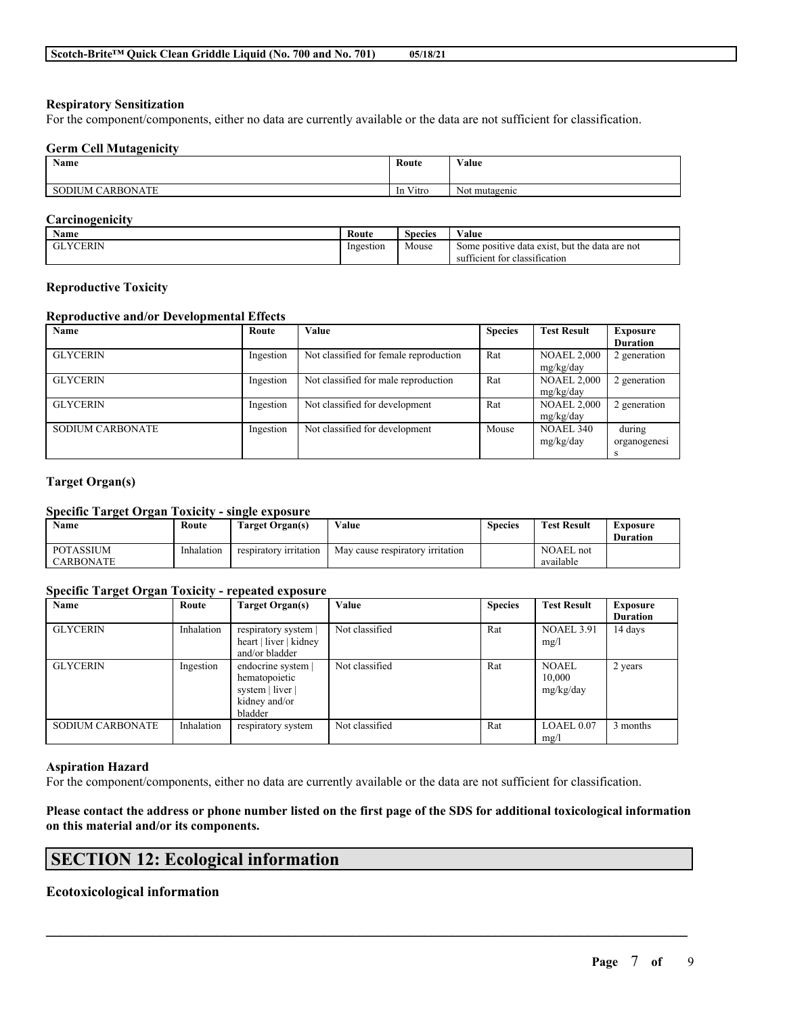### **Respiratory Sensitization**

For the component/components, either no data are currently available or the data are not sufficient for classification.

#### **Germ Cell Mutagenicity**

| <b>Name</b>               | Route    | <b>WY 3</b><br>Value |
|---------------------------|----------|----------------------|
| 'ARBONATE<br>SODIU<br>JM. | In Vitro | Not mutagenic        |

### **Carcinogenicity**

| Name            | Route     | $\sim$<br><b>Species</b> | Value                                          |
|-----------------|-----------|--------------------------|------------------------------------------------|
| <b>GLYCERIN</b> | Ingestion | Mouse                    | Some positive data exist, but the data are not |
|                 |           |                          | sufficient for classification                  |

#### **Reproductive Toxicity**

### **Reproductive and/or Developmental Effects**

| Name                    | Route     | Value                                  | <b>Species</b> | <b>Test Result</b> | Exposure        |
|-------------------------|-----------|----------------------------------------|----------------|--------------------|-----------------|
|                         |           |                                        |                |                    | <b>Duration</b> |
| <b>GLYCERIN</b>         | Ingestion | Not classified for female reproduction | Rat            | <b>NOAEL 2,000</b> | 2 generation    |
|                         |           |                                        |                | mg/kg/day          |                 |
| <b>GLYCERIN</b>         | Ingestion | Not classified for male reproduction   | Rat            | <b>NOAEL 2,000</b> | 2 generation    |
|                         |           |                                        |                | mg/kg/day          |                 |
| <b>GLYCERIN</b>         | Ingestion | Not classified for development         | Rat            | <b>NOAEL 2,000</b> | 2 generation    |
|                         |           |                                        |                | mg/kg/day          |                 |
| <b>SODIUM CARBONATE</b> | Ingestion | Not classified for development         | Mouse          | <b>NOAEL 340</b>   | during          |
|                         |           |                                        |                | mg/kg/day          | organogenesi    |
|                         |           |                                        |                |                    |                 |

### **Target Organ(s)**

### **Specific Target Organ Toxicity - single exposure**

| Name                                 | Route      | Target Organ(s)        | Value                            | Species | <b>Test Result</b>            | Exposure<br><b>Duration</b> |
|--------------------------------------|------------|------------------------|----------------------------------|---------|-------------------------------|-----------------------------|
| <b>POTASSIUM</b><br><b>CARBONATE</b> | Inhalation | respiratory irritation | May cause respiratory irritation |         | <b>NOAEL</b> not<br>available |                             |

### **Specific Target Organ Toxicity - repeated exposure**

| Name                    | Route      | Target Organ(s)        | Value          | <b>Species</b> | <b>Test Result</b> | <b>Exposure</b> |
|-------------------------|------------|------------------------|----------------|----------------|--------------------|-----------------|
|                         |            |                        |                |                |                    | <b>Duration</b> |
| <b>GLYCERIN</b>         | Inhalation | respiratory system     | Not classified | Rat            | <b>NOAEL 3.91</b>  | 14 days         |
|                         |            | heart   liver   kidney |                |                | mg/l               |                 |
|                         |            | and/or bladder         |                |                |                    |                 |
| <b>GLYCERIN</b>         | Ingestion  | endocrine system       | Not classified | Rat            | <b>NOAEL</b>       | 2 years         |
|                         |            | hematopoietic          |                |                | 10.000             |                 |
|                         |            | system   liver         |                |                | mg/kg/day          |                 |
|                         |            | kidney and/or          |                |                |                    |                 |
|                         |            | bladder                |                |                |                    |                 |
| <b>SODIUM CARBONATE</b> | Inhalation | respiratory system     | Not classified | Rat            | LOAEL 0.07         | 3 months        |
|                         |            |                        |                |                | mg/l               |                 |

#### **Aspiration Hazard**

For the component/components, either no data are currently available or the data are not sufficient for classification.

### Please contact the address or phone number listed on the first page of the SDS for additional toxicological information **on this material and/or its components.**

 $\mathcal{L}_\mathcal{L} = \mathcal{L}_\mathcal{L} = \mathcal{L}_\mathcal{L} = \mathcal{L}_\mathcal{L} = \mathcal{L}_\mathcal{L} = \mathcal{L}_\mathcal{L} = \mathcal{L}_\mathcal{L} = \mathcal{L}_\mathcal{L} = \mathcal{L}_\mathcal{L} = \mathcal{L}_\mathcal{L} = \mathcal{L}_\mathcal{L} = \mathcal{L}_\mathcal{L} = \mathcal{L}_\mathcal{L} = \mathcal{L}_\mathcal{L} = \mathcal{L}_\mathcal{L} = \mathcal{L}_\mathcal{L} = \mathcal{L}_\mathcal{L}$ 

# **SECTION 12: Ecological information**

### **Ecotoxicological information**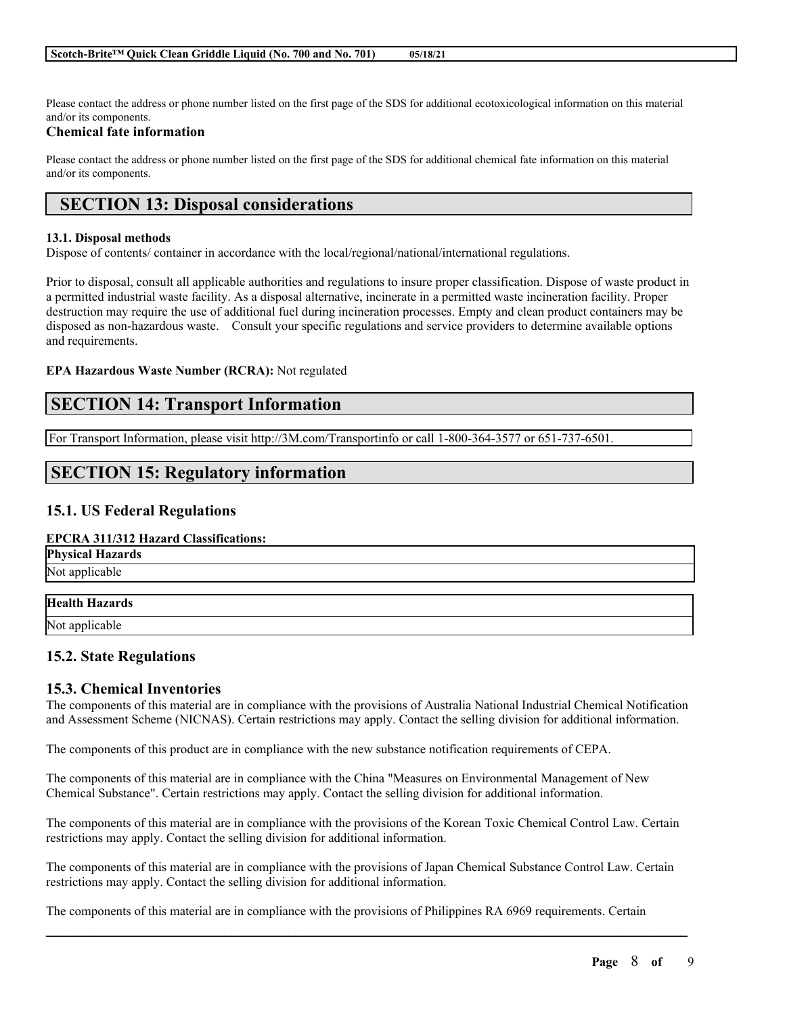Please contact the address or phone number listed on the first page of the SDS for additional ecotoxicological information on this material and/or its components.

### **Chemical fate information**

Please contact the address or phone number listed on the first page of the SDS for additional chemical fate information on this material and/or its components.

# **SECTION 13: Disposal considerations**

#### **13.1. Disposal methods**

Dispose of contents/ container in accordance with the local/regional/national/international regulations.

Prior to disposal, consult all applicable authorities and regulations to insure proper classification. Dispose of waste product in a permitted industrial waste facility. As a disposal alternative, incinerate in a permitted waste incineration facility. Proper destruction may require the use of additional fuel during incineration processes. Empty and clean product containers may be disposed as non-hazardous waste. Consult your specific regulations and service providers to determine available options and requirements.

#### **EPA Hazardous Waste Number (RCRA):** Not regulated

# **SECTION 14: Transport Information**

For Transport Information, please visit http://3M.com/Transportinfo or call 1-800-364-3577 or 651-737-6501.

# **SECTION 15: Regulatory information**

### **15.1. US Federal Regulations**

#### **EPCRA 311/312 Hazard Classifications:**

| <b>Physical Hazards</b> |
|-------------------------|
| Not applicable          |

### **Health Hazards**

Not applicable

### **15.2. State Regulations**

### **15.3. Chemical Inventories**

The components of this material are in compliance with the provisions of Australia National Industrial Chemical Notification and Assessment Scheme (NICNAS). Certain restrictions may apply. Contact the selling division for additional information.

The components of this product are in compliance with the new substance notification requirements of CEPA.

The components of this material are in compliance with the China "Measures on Environmental Management of New Chemical Substance". Certain restrictions may apply. Contact the selling division for additional information.

The components of this material are in compliance with the provisions of the Korean Toxic Chemical Control Law. Certain restrictions may apply. Contact the selling division for additional information.

The components of this material are in compliance with the provisions of Japan Chemical Substance Control Law. Certain restrictions may apply. Contact the selling division for additional information.

 $\mathcal{L}_\mathcal{L} = \mathcal{L}_\mathcal{L} = \mathcal{L}_\mathcal{L} = \mathcal{L}_\mathcal{L} = \mathcal{L}_\mathcal{L} = \mathcal{L}_\mathcal{L} = \mathcal{L}_\mathcal{L} = \mathcal{L}_\mathcal{L} = \mathcal{L}_\mathcal{L} = \mathcal{L}_\mathcal{L} = \mathcal{L}_\mathcal{L} = \mathcal{L}_\mathcal{L} = \mathcal{L}_\mathcal{L} = \mathcal{L}_\mathcal{L} = \mathcal{L}_\mathcal{L} = \mathcal{L}_\mathcal{L} = \mathcal{L}_\mathcal{L}$ 

The components of this material are in compliance with the provisions of Philippines RA 6969 requirements. Certain